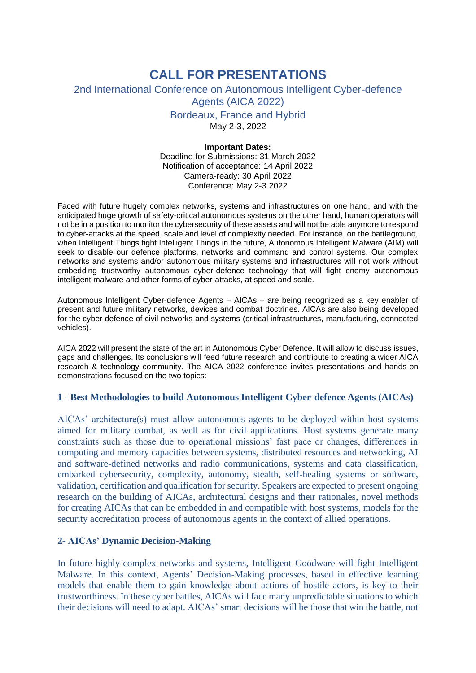# **CALL FOR PRESENTATIONS**

## 2nd International Conference on Autonomous Intelligent Cyber-defence Agents (AICA 2022) Bordeaux, France and Hybrid May 2-3, 2022

**Important Dates:** Deadline for Submissions: 31 March 2022 Notification of acceptance: 14 April 2022 Camera-ready: 30 April 2022 Conference: May 2-3 2022

Faced with future hugely complex networks, systems and infrastructures on one hand, and with the anticipated huge growth of safety-critical autonomous systems on the other hand, human operators will not be in a position to monitor the cybersecurity of these assets and will not be able anymore to respond to cyber-attacks at the speed, scale and level of complexity needed. For instance, on the battleground, when Intelligent Things fight Intelligent Things in the future, Autonomous Intelligent Malware (AIM) will seek to disable our defence platforms, networks and command and control systems. Our complex networks and systems and/or autonomous military systems and infrastructures will not work without embedding trustworthy autonomous cyber-defence technology that will fight enemy autonomous intelligent malware and other forms of cyber-attacks, at speed and scale.

Autonomous Intelligent Cyber-defence Agents – AICAs – are being recognized as a key enabler of present and future military networks, devices and combat doctrines. AICAs are also being developed for the cyber defence of civil networks and systems (critical infrastructures, manufacturing, connected vehicles).

AICA 2022 will present the state of the art in Autonomous Cyber Defence. It will allow to discuss issues, gaps and challenges. Its conclusions will feed future research and contribute to creating a wider AICA research & technology community. The AICA 2022 conference invites presentations and hands-on demonstrations focused on the two topics:

### **1 - Best Methodologies to build Autonomous Intelligent Cyber-defence Agents (AICAs)**

AICAs' architecture(s) must allow autonomous agents to be deployed within host systems aimed for military combat, as well as for civil applications. Host systems generate many constraints such as those due to operational missions' fast pace or changes, differences in computing and memory capacities between systems, distributed resources and networking, AI and software-defined networks and radio communications, systems and data classification, embarked cybersecurity, complexity, autonomy, stealth, self-healing systems or software, validation, certification and qualification for security. Speakers are expected to present ongoing research on the building of AICAs, architectural designs and their rationales, novel methods for creating AICAs that can be embedded in and compatible with host systems, models for the security accreditation process of autonomous agents in the context of allied operations.

### **2- AICAs' Dynamic Decision-Making**

In future highly-complex networks and systems, Intelligent Goodware will fight Intelligent Malware. In this context, Agents' Decision-Making processes, based in effective learning models that enable them to gain knowledge about actions of hostile actors, is key to their trustworthiness. In these cyber battles, AICAs will face many unpredictable situations to which their decisions will need to adapt. AICAs' smart decisions will be those that win the battle, not